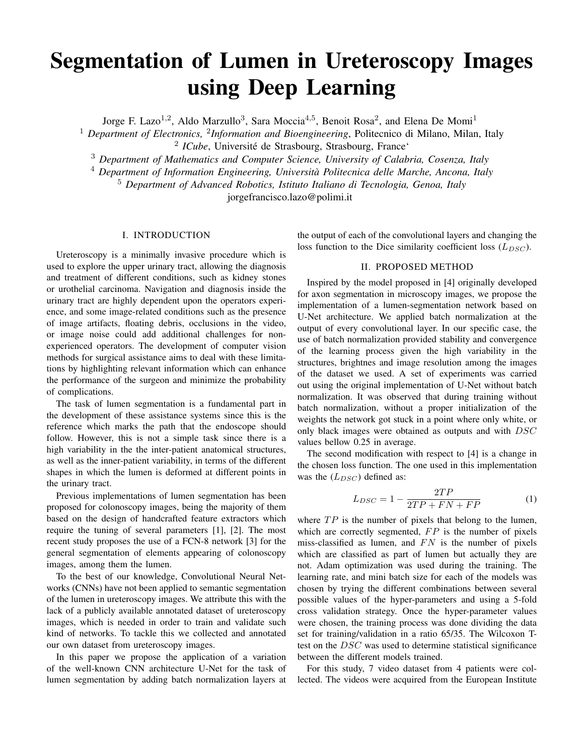# Segmentation of Lumen in Ureteroscopy Images using Deep Learning

Jorge F. Lazo<sup>1,2</sup>, Aldo Marzullo<sup>3</sup>, Sara Moccia<sup>4,5</sup>, Benoit Rosa<sup>2</sup>, and Elena De Momi<sup>1</sup>

<sup>1</sup> Department of Electronics, <sup>2</sup>Information and Bioengineering, Politecnico di Milano, Milan, Italy <sup>2</sup> ICube, Université de Strasbourg, Strasbourg, France<sup>®</sup>

<sup>3</sup> *Department of Mathematics and Computer Science, University of Calabria, Cosenza, Italy*

<sup>4</sup> *Department of Information Engineering, Universita Politecnica delle Marche, Ancona, Italy `*

<sup>5</sup> *Department of Advanced Robotics, Istituto Italiano di Tecnologia, Genoa, Italy*

jorgefrancisco.lazo@polimi.it

#### I. INTRODUCTION

Ureteroscopy is a minimally invasive procedure which is used to explore the upper urinary tract, allowing the diagnosis and treatment of different conditions, such as kidney stones or urothelial carcinoma. Navigation and diagnosis inside the urinary tract are highly dependent upon the operators experience, and some image-related conditions such as the presence of image artifacts, floating debris, occlusions in the video, or image noise could add additional challenges for nonexperienced operators. The development of computer vision methods for surgical assistance aims to deal with these limitations by highlighting relevant information which can enhance the performance of the surgeon and minimize the probability of complications.

The task of lumen segmentation is a fundamental part in the development of these assistance systems since this is the reference which marks the path that the endoscope should follow. However, this is not a simple task since there is a high variability in the the inter-patient anatomical structures, as well as the inner-patient variability, in terms of the different shapes in which the lumen is deformed at different points in the urinary tract.

Previous implementations of lumen segmentation has been proposed for colonoscopy images, being the majority of them based on the design of handcrafted feature extractors which require the tuning of several parameters [1], [2]. The most recent study proposes the use of a FCN-8 network [3] for the general segmentation of elements appearing of colonoscopy images, among them the lumen.

To the best of our knowledge, Convolutional Neural Networks (CNNs) have not been applied to semantic segmentation of the lumen in ureteroscopy images. We attribute this with the lack of a publicly available annotated dataset of ureteroscopy images, which is needed in order to train and validate such kind of networks. To tackle this we collected and annotated our own dataset from ureteroscopy images.

In this paper we propose the application of a variation of the well-known CNN architecture U-Net for the task of lumen segmentation by adding batch normalization layers at the output of each of the convolutional layers and changing the loss function to the Dice similarity coefficient loss  $(L_{DSC})$ .

### II. PROPOSED METHOD

Inspired by the model proposed in [4] originally developed for axon segmentation in microscopy images, we propose the implementation of a lumen-segmentation network based on U-Net architecture. We applied batch normalization at the output of every convolutional layer. In our specific case, the use of batch normalization provided stability and convergence of the learning process given the high variability in the structures, brightnes and image resolution among the images of the dataset we used. A set of experiments was carried out using the original implementation of U-Net without batch normalization. It was observed that during training without batch normalization, without a proper initialization of the weights the network got stuck in a point where only white, or only black images were obtained as outputs and with DSC values bellow 0.25 in average.

The second modification with respect to [4] is a change in the chosen loss function. The one used in this implementation was the  $(L_{DSC})$  defined as:

$$
L_{DSC} = 1 - \frac{2TP}{2TP + FN + FP}
$$
 (1)

where  $TP$  is the number of pixels that belong to the lumen, which are correctly segmented,  $FP$  is the number of pixels miss-classified as lumen, and  $FN$  is the number of pixels which are classified as part of lumen but actually they are not. Adam optimization was used during the training. The learning rate, and mini batch size for each of the models was chosen by trying the different combinations between several possible values of the hyper-parameters and using a 5-fold cross validation strategy. Once the hyper-parameter values were chosen, the training process was done dividing the data set for training/validation in a ratio 65/35. The Wilcoxon Ttest on the DSC was used to determine statistical significance between the different models trained.

For this study, 7 video dataset from 4 patients were collected. The videos were acquired from the European Institute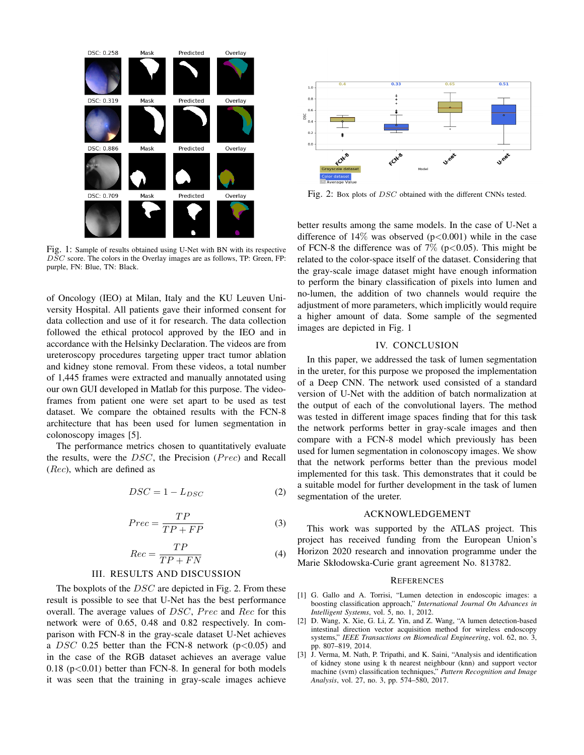

Fig. 1: Sample of results obtained using U-Net with BN with its respective DSC score. The colors in the Overlay images are as follows, TP: Green, FP: purple, FN: Blue, TN: Black.

of Oncology (IEO) at Milan, Italy and the KU Leuven University Hospital. All patients gave their informed consent for data collection and use of it for research. The data collection followed the ethical protocol approved by the IEO and in accordance with the Helsinky Declaration. The videos are from ureteroscopy procedures targeting upper tract tumor ablation and kidney stone removal. From these videos, a total number of 1,445 frames were extracted and manually annotated using our own GUI developed in Matlab for this purpose. The videoframes from patient one were set apart to be used as test dataset. We compare the obtained results with the FCN-8 architecture that has been used for lumen segmentation in colonoscopy images [5].

The performance metrics chosen to quantitatively evaluate the results, were the  $DSC$ , the Precision ( $Prec$ ) and Recall  $(Rec)$ , which are defined as

$$
DSC = 1 - L_{DSC} \tag{2}
$$

$$
Prec = \frac{TP}{TP + FP}
$$
 (3)

$$
Rec = \frac{TP}{TP + FN}
$$
 (4)

### III. RESULTS AND DISCUSSION

The boxplots of the *DSC* are depicted in Fig. 2. From these result is possible to see that U-Net has the best performance overall. The average values of  $DSC$ ,  $Prec$  and  $Rec$  for this network were of 0.65, 0.48 and 0.82 respectively. In comparison with FCN-8 in the gray-scale dataset U-Net achieves a DSC 0.25 better than the FCN-8 network ( $p<0.05$ ) and in the case of the RGB dataset achieves an average value  $0.18$  ( $p < 0.01$ ) better than FCN-8. In general for both models it was seen that the training in gray-scale images achieve



Fig. 2: Box plots of DSC obtained with the different CNNs tested.

better results among the same models. In the case of U-Net a difference of  $14\%$  was observed ( $p<0.001$ ) while in the case of FCN-8 the difference was of  $7\%$  (p<0.05). This might be related to the color-space itself of the dataset. Considering that the gray-scale image dataset might have enough information to perform the binary classification of pixels into lumen and no-lumen, the addition of two channels would require the adjustment of more parameters, which implicitly would require a higher amount of data. Some sample of the segmented images are depicted in Fig. 1

## IV. CONCLUSION

In this paper, we addressed the task of lumen segmentation in the ureter, for this purpose we proposed the implementation of a Deep CNN. The network used consisted of a standard version of U-Net with the addition of batch normalization at the output of each of the convolutional layers. The method was tested in different image spaces finding that for this task the network performs better in gray-scale images and then compare with a FCN-8 model which previously has been used for lumen segmentation in colonoscopy images. We show that the network performs better than the previous model implemented for this task. This demonstrates that it could be a suitable model for further development in the task of lumen segmentation of the ureter.

### ACKNOWLEDGEMENT

This work was supported by the ATLAS project. This project has received funding from the European Union's Horizon 2020 research and innovation programme under the Marie Skłodowska-Curie grant agreement No. 813782.

#### **REFERENCES**

- [1] G. Gallo and A. Torrisi, "Lumen detection in endoscopic images: a boosting classification approach," *International Journal On Advances in Intelligent Systems*, vol. 5, no. 1, 2012.
- [2] D. Wang, X. Xie, G. Li, Z. Yin, and Z. Wang, "A lumen detection-based intestinal direction vector acquisition method for wireless endoscopy systems," *IEEE Transactions on Biomedical Engineering*, vol. 62, no. 3, pp. 807–819, 2014.
- [3] J. Verma, M. Nath, P. Tripathi, and K. Saini, "Analysis and identification of kidney stone using k th nearest neighbour (knn) and support vector machine (svm) classification techniques," *Pattern Recognition and Image Analysis*, vol. 27, no. 3, pp. 574–580, 2017.